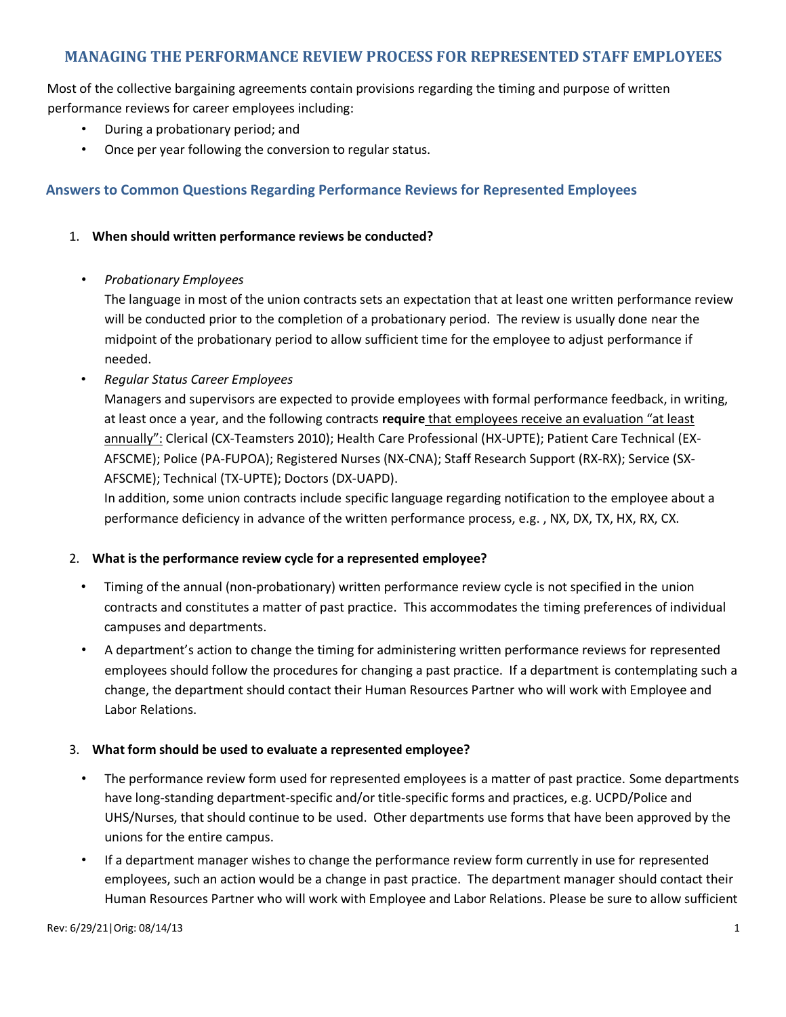# **MANAGING THE PERFORMANCE REVIEW PROCESS FOR REPRESENTED STAFF EMPLOYEES**

Most of the collective bargaining agreements contain provisions regarding the timing and purpose of written performance reviews for career employees including:

- During a probationary period; and
- Once per year following the conversion to regular status.

# **Answers to Common Questions Regarding Performance Reviews for Represented Employees**

# 1. **When should written performance reviews be conducted?**

• *Probationary Employees*

The language in most of the union contracts sets an expectation that at least one written performance review will be conducted prior to the completion of a probationary period. The review is usually done near the midpoint of the probationary period to allow sufficient time for the employee to adjust performance if needed.

• *Regular Status Career Employees*

Managers and supervisors are expected to provide employees with formal performance feedback, in writing, at least once a year, and the following contracts **require** that employees receive an evaluation "at least annually": Clerical (CX-Teamsters 2010); Health Care Professional (HX-UPTE); Patient Care Technical (EX-AFSCME); Police (PA-FUPOA); Registered Nurses (NX-CNA); Staff Research Support (RX-RX); Service (SX-AFSCME); Technical (TX-UPTE); Doctors (DX-UAPD).

In addition, some union contracts include specific language regarding notification to the employee about a performance deficiency in advance of the written performance process, e.g. , NX, DX, TX, HX, RX, CX.

#### 2. **What is the performance review cycle for a represented employee?**

- Timing of the annual (non-probationary) written performance review cycle is not specified in the union contracts and constitutes a matter of past practice. This accommodates the timing preferences of individual campuses and departments.
- A department's action to change the timing for administering written performance reviews for represented employees should follow the procedures for changing a past practice. If a department is contemplating such a change, the department should contact their Human Resources Partner who will work with Employee and Labor Relations.

#### 3. **What form should be used to evaluate a represented employee?**

- The performance review form used for represented employees is a matter of past practice. Some departments have long-standing department-specific and/or title-specific forms and practices, e.g. UCPD/Police and UHS/Nurses, that should continue to be used. Other departments use forms that have been approved by the unions for the entire campus.
- If a department manager wishes to change the performance review form currently in use for represented employees, such an action would be a change in past practice. The department manager should contact their Human Resources Partner who will work with Employee and Labor Relations. Please be sure to allow sufficient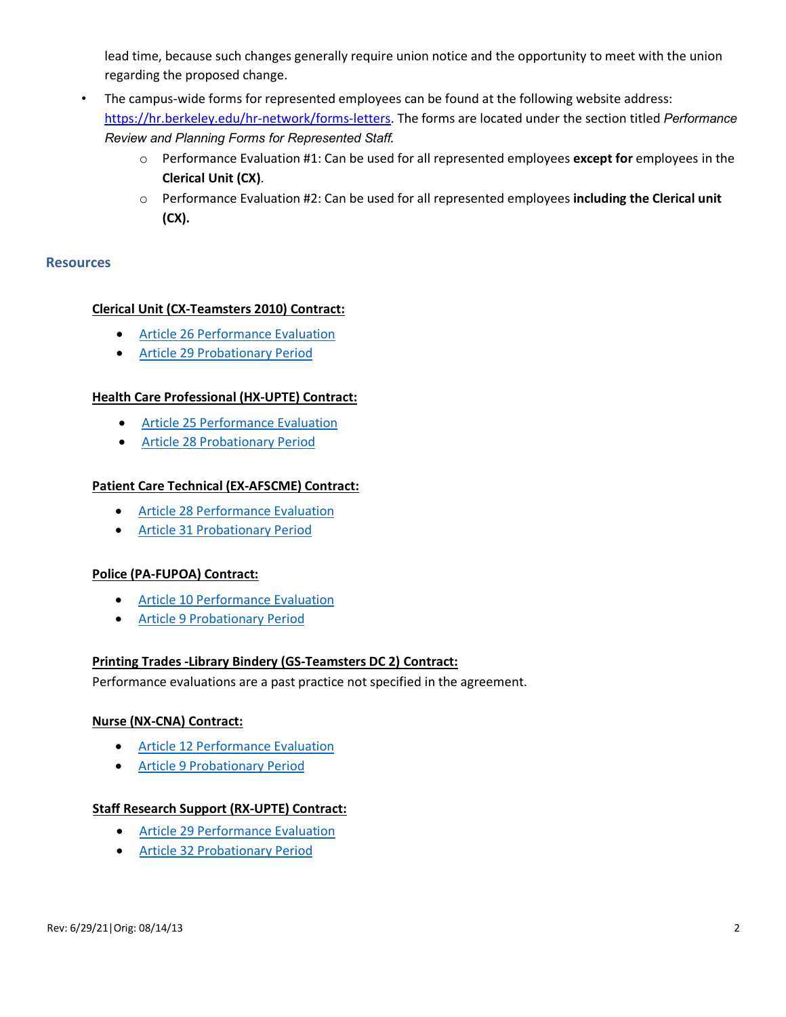lead time, because such changes generally require union notice and the opportunity to meet with the union regarding the proposed change.

- The campus-wide forms for represented employees can be found at the following website address: https://hr.berkeley.edu/hr-network/forms-letters. The forms are located under the section titled *Performance Review and Planning Forms for Represented Staff.*
	- o Performance Evaluation #1: Can be used for all represented employees **except for** employees in the **Clerical Unit (CX)**.
	- o Performance Evaluation #2: Can be used for all represented employees **including the Clerical unit (CX).**

#### **Resources**

# **Clerical Unit (CX-Teamsters 2010) Contract:**

- Article 26 Performance Evaluation
- Article 29 Probationary Period

# **Health Care Professional (HX-UPTE) Contract:**

- Article 25 Performance Evaluation
- Article 28 Probationary Period

#### **Patient Care Technical (EX-AFSCME) Contract:**

- Article 28 Performance Evaluation
- Article 31 Probationary Period

#### **Police (PA-FUPOA) Contract:**

- Article 10 Performance Evaluation
- Article 9 Probationary Period

#### **Printing Trades -Library Bindery (GS-Teamsters DC 2) Contract:**

Performance evaluations are a past practice not specified in the agreement.

#### **Nurse (NX-CNA) Contract:**

- Article 12 Performance Evaluation
- Article 9 Probationary Period

#### **Staff Research Support (RX-UPTE) Contract:**

- Article 29 Performance Evaluation
- Article 32 Probationary Period